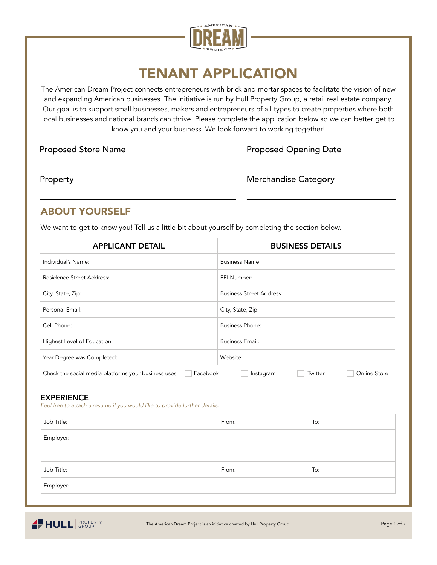

# TENANT APPLICATION

The American Dream Project connects entrepreneurs with brick and mortar spaces to facilitate the vision of new and expanding American businesses. The initiative is run by Hull Property Group, a retail real estate company. Our goal is to support small businesses, makers and entrepreneurs of all types to create properties where both local businesses and national brands can thrive. Please complete the application below so we can better get to know you and your business. We look forward to working together!

Proposed Store Name

## Proposed Opening Date

Property

#### Merchandise Category

# ABOUT YOURSELF

We want to get to know you! Tell us a little bit about yourself by completing the section below.

| <b>APPLICANT DETAIL</b>                                          | <b>BUSINESS DETAILS</b>              |
|------------------------------------------------------------------|--------------------------------------|
| Individual's Name:                                               | <b>Business Name:</b>                |
| Residence Street Address:                                        | FEI Number:                          |
| City, State, Zip:                                                | <b>Business Street Address:</b>      |
| Personal Email:                                                  | City, State, Zip:                    |
| Cell Phone:                                                      | <b>Business Phone:</b>               |
| Highest Level of Education:                                      | <b>Business Email:</b>               |
| Year Degree was Completed:                                       | Website:                             |
| Facebook<br>Check the social media platforms your business uses: | Online Store<br>Twitter<br>Instagram |

#### EXPERIENCE

*Feel free to attach a resume if you would like to provide further details.*

| Job Title: | From: | To: |
|------------|-------|-----|
| Employer:  |       |     |
|            |       |     |
| Job Title: | From: | To: |
| Employer:  |       |     |
|            |       |     |

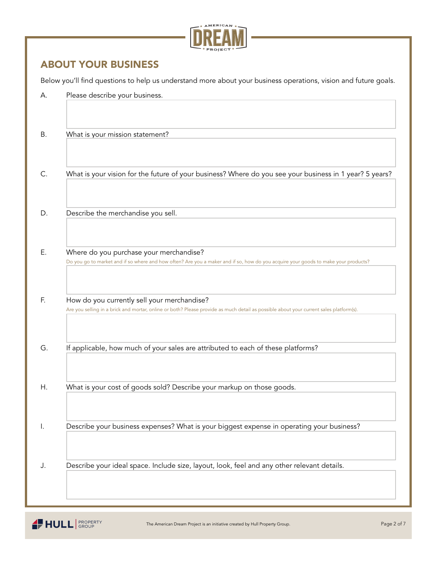

## ABOUT YOUR BUSINESS

Below you'll find questions to help us understand more about your business operations, vision and future goals.

| А.             | Please describe your business.                                                                                                                                                        |
|----------------|---------------------------------------------------------------------------------------------------------------------------------------------------------------------------------------|
| В.             | What is your mission statement?                                                                                                                                                       |
| C.             | What is your vision for the future of your business? Where do you see your business in 1 year? 5 years?                                                                               |
| D.             | Describe the merchandise you sell.                                                                                                                                                    |
| Ε.             | Where do you purchase your merchandise?<br>Do you go to market and if so where and how often? Are you a maker and if so, how do you acquire your goods to make your products?         |
| F.             | How do you currently sell your merchandise?<br>Are you selling in a brick and mortar, online or both? Please provide as much detail as possible about your current sales platform(s). |
| G.             | If applicable, how much of your sales are attributed to each of these platforms?                                                                                                      |
| Η.             | What is your cost of goods sold? Describe your markup on those goods.                                                                                                                 |
| $\mathsf{l}$ . | Describe your business expenses? What is your biggest expense in operating your business?                                                                                             |
| J.             | Describe your ideal space. Include size, layout, look, feel and any other relevant details.                                                                                           |

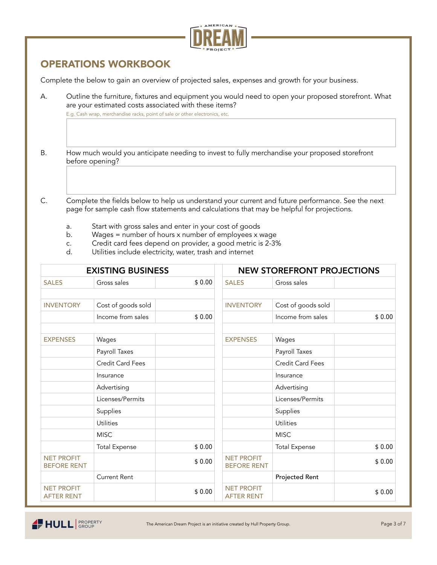

# OPERATIONS WORKBOOK

Complete the below to gain an overview of projected sales, expenses and growth for your business.

A. Outline the furniture, fixtures and equipment you would need to open your proposed storefront. What are your estimated costs associated with these items?

E.g. Cash wrap, merchandise racks, point of sale or other electronics, etc.

- B. How much would you anticipate needing to invest to fully merchandise your proposed storefront before opening?
- C. Complete the fields below to help us understand your current and future performance. See the next page for sample cash flow statements and calculations that may be helpful for projections.
	- a. Start with gross sales and enter in your cost of goods
	- b. Wages = number of hours x number of employees x wage
	- c. Credit card fees depend on provider, a good metric is 2-3%
	- Utilities include electricity, water, trash and internet

| <b>EXISTING BUSINESS</b>                |                         | <b>NEW STOREFRONT PROJECTIONS</b> |                                         |                      |        |
|-----------------------------------------|-------------------------|-----------------------------------|-----------------------------------------|----------------------|--------|
| <b>SALES</b>                            | Gross sales             | \$0.00                            | <b>SALES</b>                            | Gross sales          |        |
|                                         |                         |                                   |                                         |                      |        |
| <b>INVENTORY</b>                        | Cost of goods sold      |                                   | <b>INVENTORY</b>                        | Cost of goods sold   |        |
|                                         | Income from sales       | \$0.00                            |                                         | Income from sales    | \$0.00 |
|                                         |                         |                                   |                                         |                      |        |
| <b>EXPENSES</b>                         | Wages                   |                                   | <b>EXPENSES</b>                         | Wages                |        |
|                                         | Payroll Taxes           |                                   |                                         | Payroll Taxes        |        |
|                                         | <b>Credit Card Fees</b> |                                   |                                         | Credit Card Fees     |        |
|                                         | Insurance               |                                   |                                         | Insurance            |        |
|                                         | Advertising             |                                   |                                         | Advertising          |        |
|                                         | Licenses/Permits        |                                   |                                         | Licenses/Permits     |        |
|                                         | Supplies                |                                   |                                         | Supplies             |        |
|                                         | <b>Utilities</b>        |                                   |                                         | <b>Utilities</b>     |        |
|                                         | <b>MISC</b>             |                                   |                                         | <b>MISC</b>          |        |
|                                         | <b>Total Expense</b>    | \$0.00                            |                                         | <b>Total Expense</b> | \$0.00 |
| <b>NET PROFIT</b><br><b>BEFORE RENT</b> |                         | \$0.00                            | <b>NET PROFIT</b><br><b>BEFORE RENT</b> |                      | \$0.00 |
|                                         | <b>Current Rent</b>     |                                   |                                         | Projected Rent       |        |
| <b>NET PROFIT</b><br><b>AFTER RENT</b>  |                         | \$0.00                            | <b>NET PROFIT</b><br><b>AFTER RENT</b>  |                      | \$0.00 |

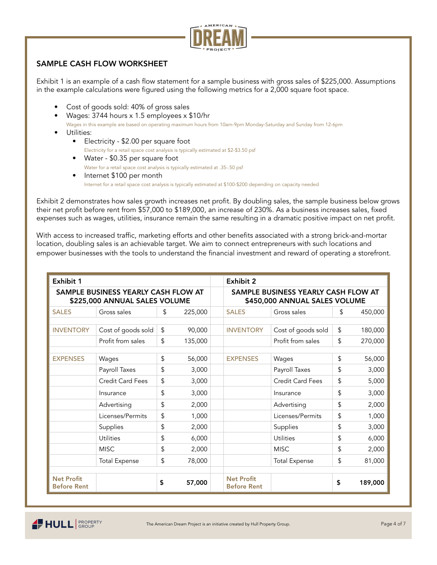

#### SAMPLE CASH FLOW WORKSHEET

Exhibit 1 is an example of a cash flow statement for a sample business with gross sales of \$225,000. Assumptions in the example calculations were figured using the following metrics for a 2,000 square foot space.

- Cost of goods sold: 40% of gross sales
- Wages: 3744 hours x 1.5 employees x \$10/hr Wages in this example are based on operating maximum hours from 10am-9pm Monday-Saturday and Sunday from 12-6pm
- Utilities:
	- Electricity \$2.00 per square foot Electricity for a retail space cost analysis is typically estimated at \$2-\$3.50 psf
	- Water \$0.35 per square foot Water for a retail space cost analysis is typically estimated at .35-.50 psf
	- Internet \$100 per month Internet for a retail space cost analysis is typically estimated at \$100-\$200 depending on capacity needed

Exhibit 2 demonstrates how sales growth increases net profit. By doubling sales, the sample business below grows their net profit before rent from \$57,000 to \$189,000, an increase of 230%. As a business increases sales, fixed expenses such as wages, utilities, insurance remain the same resulting in a dramatic positive impact on net profit.

With access to increased traffic, marketing efforts and other benefits associated with a strong brick-and-mortar location, doubling sales is an achievable target. We aim to connect entrepreneurs with such locations and empower businesses with the tools to understand the financial investment and reward of operating a storefront.

| Exhibit 1                                                            |                         |    |                                                                      | <b>Exhibit 2</b>                             |                         |    |         |
|----------------------------------------------------------------------|-------------------------|----|----------------------------------------------------------------------|----------------------------------------------|-------------------------|----|---------|
| SAMPLE BUSINESS YEARLY CASH FLOW AT<br>\$225,000 ANNUAL SALES VOLUME |                         |    | SAMPLE BUSINESS YEARLY CASH FLOW AT<br>\$450,000 ANNUAL SALES VOLUME |                                              |                         |    |         |
| <b>SALES</b>                                                         | Gross sales             | \$ | 225,000                                                              | \$<br>450,000<br><b>SALES</b><br>Gross sales |                         |    |         |
|                                                                      |                         |    |                                                                      |                                              |                         |    |         |
| <b>INVENTORY</b>                                                     | Cost of goods sold      | \$ | 90,000                                                               | <b>INVENTORY</b>                             | Cost of goods sold      | \$ | 180,000 |
|                                                                      | Profit from sales       | \$ | 135,000                                                              |                                              | Profit from sales       | \$ | 270,000 |
|                                                                      |                         |    |                                                                      |                                              |                         |    |         |
| <b>EXPENSES</b>                                                      | Wages                   | \$ | 56,000                                                               | <b>EXPENSES</b>                              | Wages                   | \$ | 56,000  |
|                                                                      | Payroll Taxes           | \$ | 3,000                                                                |                                              | Payroll Taxes           | \$ | 3,000   |
|                                                                      | <b>Credit Card Fees</b> | \$ | 3,000                                                                |                                              | <b>Credit Card Fees</b> | \$ | 5,000   |
|                                                                      | Insurance               | \$ | 3,000                                                                |                                              | Insurance               | \$ | 3,000   |
|                                                                      | Advertising             | \$ | 2,000                                                                |                                              | Advertising             | \$ | 2,000   |
|                                                                      | Licenses/Permits        | \$ | 1,000                                                                |                                              | Licenses/Permits        | \$ | 1,000   |
|                                                                      | Supplies                | \$ | 2,000                                                                |                                              | Supplies                | \$ | 3,000   |
|                                                                      | Utilities               | \$ | 6,000                                                                |                                              | Utilities               | \$ | 6,000   |
|                                                                      | <b>MISC</b>             | \$ | 2,000                                                                |                                              | <b>MISC</b>             | \$ | 2,000   |
|                                                                      | <b>Total Expense</b>    | \$ | 78,000                                                               |                                              | <b>Total Expense</b>    | \$ | 81,000  |
|                                                                      |                         |    |                                                                      |                                              |                         |    |         |
| <b>Net Profit</b><br><b>Before Rent</b>                              |                         | \$ | 57,000                                                               | <b>Net Profit</b><br><b>Before Rent</b>      |                         | \$ | 189,000 |

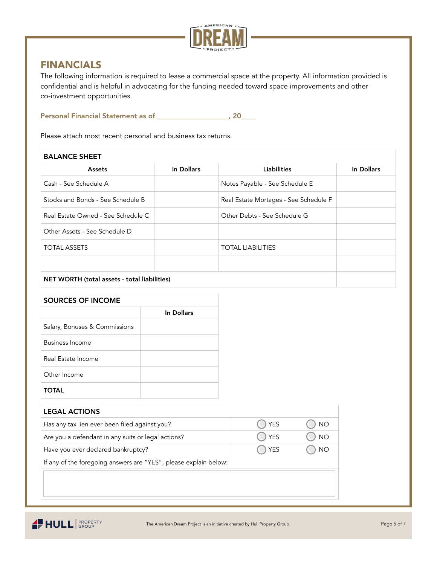

## FINANCIALS

The following information is required to lease a commercial space at the property. All information provided is confidential and is helpful in advocating for the funding needed toward space improvements and other co-investment opportunities.

Personal Financial Statement as of \_\_\_\_\_\_\_\_\_\_\_\_\_\_\_\_\_\_\_\_, 20\_\_\_\_

Please attach most recent personal and business tax returns.

| <b>BALANCE SHEET</b>                                |            |                                       |            |  |  |  |  |
|-----------------------------------------------------|------------|---------------------------------------|------------|--|--|--|--|
| Assets                                              | In Dollars | <b>Liabilities</b>                    | In Dollars |  |  |  |  |
| Cash - See Schedule A                               |            | Notes Payable - See Schedule E        |            |  |  |  |  |
| Stocks and Bonds - See Schedule B                   |            | Real Estate Mortages - See Schedule F |            |  |  |  |  |
| Real Estate Owned - See Schedule C                  |            | Other Debts - See Schedule G          |            |  |  |  |  |
| Other Assets - See Schedule D                       |            |                                       |            |  |  |  |  |
| <b>TOTAL ASSETS</b>                                 |            | <b>TOTAL LIABILITIES</b>              |            |  |  |  |  |
|                                                     |            |                                       |            |  |  |  |  |
| <b>NET WORTH (total assets - total liabilities)</b> |            |                                       |            |  |  |  |  |

| SOURCES OF INCOME             |            |
|-------------------------------|------------|
|                               | In Dollars |
| Salary, Bonuses & Commissions |            |
| Business Income               |            |
| Real Estate Income            |            |
| Other Income                  |            |
|                               |            |

| <b>LEGAL ACTIONS</b>                                             |                |           |
|------------------------------------------------------------------|----------------|-----------|
| Has any tax lien ever been filed against you?                    | $\bigcirc$ YES | ) NO      |
| Are you a defendant in any suits or legal actions?               | ◯ YES          | <b>NO</b> |
| Have you ever declared bankruptcy?                               | $\bigcap$ YES  | <b>NO</b> |
| If any of the foregoing answers are "YES", please explain below: |                |           |

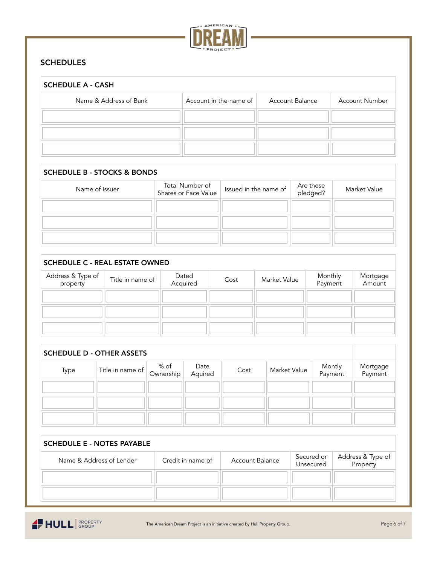

### **SCHEDULES**

| <b>SCHEDULE A - CASH</b> |                        |                 |                       |  |  |  |  |
|--------------------------|------------------------|-----------------|-----------------------|--|--|--|--|
| Name & Address of Bank   | Account in the name of | Account Balance | <b>Account Number</b> |  |  |  |  |
|                          |                        |                 |                       |  |  |  |  |
|                          |                        |                 |                       |  |  |  |  |
|                          |                        |                 |                       |  |  |  |  |

#### SCHEDULE B - STOCKS & BONDS

| Name of Issuer | Total Number of<br>Shares or Face Value | Issued in the name of | Are these<br>pledged? | Market Value |
|----------------|-----------------------------------------|-----------------------|-----------------------|--------------|
|                |                                         |                       |                       |              |
|                |                                         |                       |                       |              |
|                |                                         |                       |                       |              |

#### SCHEDULE C - REAL ESTATE OWNED

| Address & Type of<br>property | Title in name of | Dated<br>Acquired | Cost | Market Value | Monthly<br>Payment | Mortgage<br>Amount |
|-------------------------------|------------------|-------------------|------|--------------|--------------------|--------------------|
|                               |                  |                   |      |              |                    |                    |
|                               |                  |                   |      |              |                    |                    |
|                               |                  |                   |      |              |                    |                    |

| <b>SCHEDULE D - OTHER ASSETS</b> |                  |                   |                 |      |                     |                   |                     |
|----------------------------------|------------------|-------------------|-----------------|------|---------------------|-------------------|---------------------|
| Type                             | Title in name of | % of<br>Ownership | Date<br>Aquired | Cost | <b>Market Value</b> | Montly<br>Payment | Mortgage<br>Payment |
|                                  |                  |                   |                 |      |                     |                   |                     |
|                                  |                  |                   |                 |      |                     |                   |                     |
|                                  |                  |                   |                 |      |                     |                   |                     |

| <b>SCHEDULE E - NOTES PAYABLE</b> |                   |                 |                         |                               |
|-----------------------------------|-------------------|-----------------|-------------------------|-------------------------------|
| Name & Address of Lender          | Credit in name of | Account Balance | Secured or<br>Unsecured | Address & Type of<br>Property |
|                                   |                   |                 |                         |                               |
|                                   |                   |                 |                         |                               |